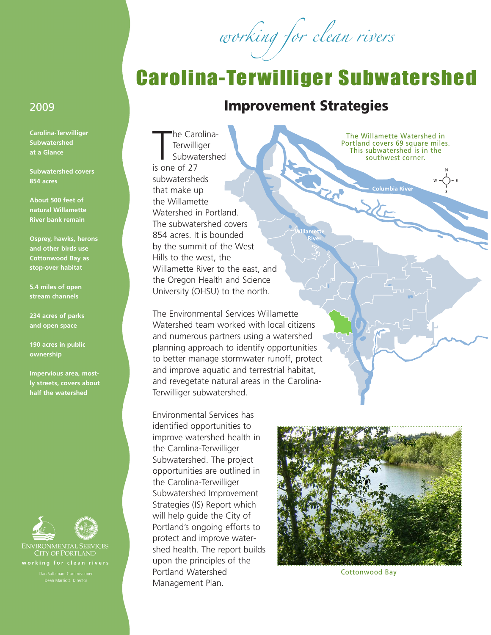working for clean rivers

## Carolina-Terwilliger Subwatershed

## 2009 **Improvement Strategies**

**SALE** 

The Car<br>Terwilli<br>Subwa<br>is one of 27 he Carolina-**Terwilliger** Subwatershed subwatersheds that make up the Willamette Watershed in Portland. The subwatershed covers 854 acres. It is bounded by the summit of the West Hills to the west, the Willamette River to the east, and the Oregon Health and Science University (OHSU) to the north.

The Environmental Services Willamette Watershed team worked with local citizens and numerous partners using a watershed planning approach to identify opportunities to better manage stormwater runoff, protect and improve aquatic and terrestrial habitat, and revegetate natural areas in the Carolina-Terwilliger subwatershed.

Environmental Services has identified opportunities to improve watershed health in the Carolina-Terwilliger Subwatershed. The project opportunities are outlined in the Carolina-Terwilliger Subwatershed Improvement Strategies (IS) Report which will help guide the City of Portland's ongoing efforts to protect and improve watershed health. The report builds upon the principles of the Portland Watershed Management Plan.

The Willamette Watershed in Portland covers 69 square miles. This subwatershed is in the southwest corner.

**Columbia River** 



**Carolina-Terwilliger Subwatershed at a Glance**

**Subwatershed covers 854 acres**

**About 500 feet of natural Willamette River bank remain**

**Osprey, hawks, herons and other birds use Cottonwood Bay as stop-over habitat**

**5.4 miles of open stream channels**

**234 acres of parks and open space**

**190 acres in public ownership**

**Impervious area, mostly streets, covers about half the watershed**



**CITY OF PORTLAND** working for clean rivers